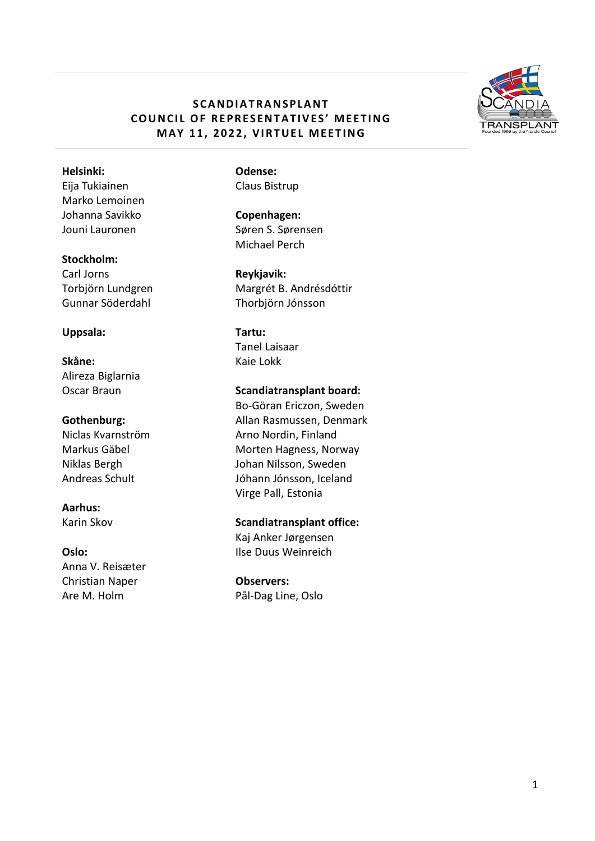# **S C A N D I A T R A N S P L A N T COUNCIL OF REPRESENTATIVES' MEETING MAY 11, 2022, VIRTUEL MEETING**



#### **Helsinki:**

Eija Tukiainen Marko Lemoinen Johanna Savikko Jouni Lauronen

#### **Stockholm:**

Carl Jorns Torbjörn Lundgren Gunnar Söderdahl

#### **Uppsala:**

## **Skåne:** Alireza Biglarnia Oscar Braun

### **Gothenburg:**

Niclas Kvarnström Markus Gäbel Niklas Bergh Andreas Schult

# **Aarhus:**

Karin Skov

#### **Oslo:**

Anna V. Reisæter Christian Naper Are M. Holm

**Odense:** Claus Bistrup

**Copenhagen:** Søren S. Sørensen Michael Perch

**Reykjavik:** Margrét B. Andrésdóttir Thorbjörn Jónsson

**Tartu:** Tanel Laisaar Kaie Lokk

**Scandiatransplant board:**

Bo-Göran Ericzon, Sweden Allan Rasmussen, Denmark Arno Nordin, Finland Morten Hagness, Norway Johan Nilsson, Sweden Jóhann Jónsson, Iceland Virge Pall, Estonia

**Scandiatransplant office:** Kaj Anker Jørgensen Ilse Duus Weinreich

**Observers:** Pål-Dag Line, Oslo